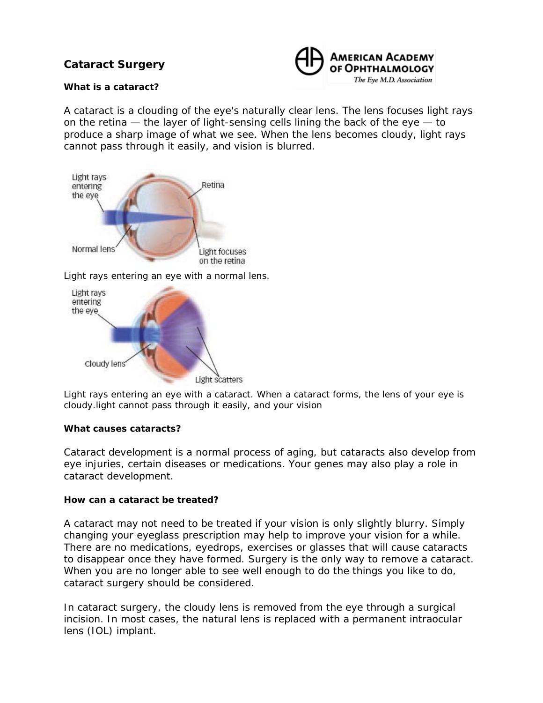# **Cataract Surgery**



## **What is a cataract?**

A cataract is a clouding of the eye's naturally clear lens. The lens focuses light rays on the retina — the layer of light-sensing cells lining the back of the eye — to produce a sharp image of what we see. When the lens becomes cloudy, light rays cannot pass through it easily, and vision is blurred.



*Light rays entering an eye with a normal lens.*



*Light rays entering an eye with a cataract. When a cataract forms, the lens of your eye is cloudy.light cannot pass through it easily, and your vision*

### **What causes cataracts?**

Cataract development is a normal process of aging, but cataracts also develop from eye injuries, certain diseases or medications. Your genes may also play a role in cataract development.

### **How can a cataract be treated?**

A cataract may not need to be treated if your vision is only slightly blurry. Simply changing your eyeglass prescription may help to improve your vision for a while. There are no medications, eyedrops, exercises or glasses that will cause cataracts to disappear once they have formed. Surgery is the only way to remove a cataract. When you are no longer able to see well enough to do the things you like to do, cataract surgery should be considered.

In cataract surgery, the cloudy lens is removed from the eye through a surgical incision. In most cases, the natural lens is replaced with a permanent intraocular lens (IOL) implant.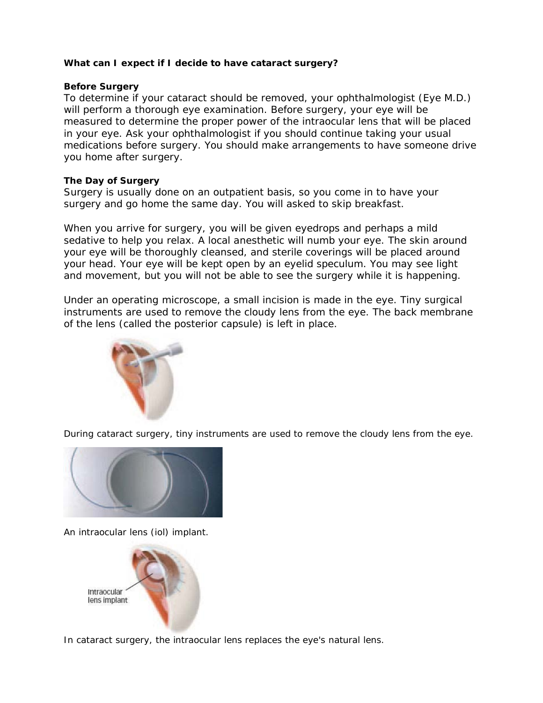## **What can I expect if I decide to have cataract surgery?**

### **Before Surgery**

To determine if your cataract should be removed, your ophthalmologist (Eye M.D.) will perform a thorough eye examination. Before surgery, your eye will be measured to determine the proper power of the intraocular lens that will be placed in your eye. Ask your ophthalmologist if you should continue taking your usual medications before surgery. You should make arrangements to have someone drive you home after surgery.

## **The Day of Surgery**

Surgery is usually done on an outpatient basis, so you come in to have your surgery and go home the same day. You will asked to skip breakfast.

When you arrive for surgery, you will be given eyedrops and perhaps a mild sedative to help you relax. A local anesthetic will numb your eye. The skin around your eye will be thoroughly cleansed, and sterile coverings will be placed around your head. Your eye will be kept open by an eyelid speculum. You may see light and movement, but you will not be able to see the surgery while it is happening.

Under an operating microscope, a small incision is made in the eye. Tiny surgical instruments are used to remove the cloudy lens from the eye. The back membrane of the lens (called the posterior capsule) is left in place.



*During cataract surgery, tiny instruments are used to remove the cloudy lens from the eye.*



*An intraocular lens (iol) implant.*



*In cataract surgery, the intraocular lens replaces the eye's natural lens.*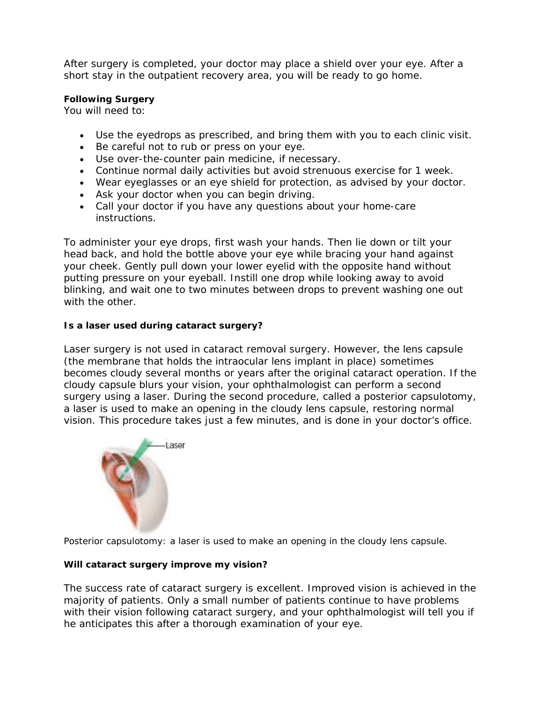After surgery is completed, your doctor may place a shield over your eye. After a short stay in the outpatient recovery area, you will be ready to go home.

## **Following Surgery**

You will need to:

- Use the eyedrops as prescribed, and bring them with you to each clinic visit.
- Be careful not to rub or press on your eye.
- Use over-the-counter pain medicine, if necessary.
- Continue normal daily activities but avoid strenuous exercise for 1 week.
- Wear eyeglasses or an eye shield for protection, as advised by your doctor.
- Ask your doctor when you can begin driving.
- Call your doctor if you have any questions about your home-care instructions.

To administer your eye drops, first wash your hands. Then lie down or tilt your head back, and hold the bottle above your eye while bracing your hand against your cheek. Gently pull down your lower eyelid with the opposite hand without putting pressure on your eyeball. Instill one drop while looking away to avoid blinking, and wait one to two minutes between drops to prevent washing one out with the other.

# **Is a laser used during cataract surgery?**

Laser surgery is not used in cataract removal surgery. However, the lens capsule (the membrane that holds the intraocular lens implant in place) sometimes becomes cloudy several months or years after the original cataract operation. If the cloudy capsule blurs your vision, your ophthalmologist can perform a second surgery using a laser. During the second procedure, called a posterior capsulotomy, a laser is used to make an opening in the cloudy lens capsule, restoring normal vision. This procedure takes just a few minutes, and is done in your doctor's office.



*Posterior capsulotomy: a laser is used to make an opening in the cloudy lens capsule.*

# **Will cataract surgery improve my vision?**

The success rate of cataract surgery is excellent. Improved vision is achieved in the majority of patients. Only a small number of patients continue to have problems with their vision following cataract surgery, and your ophthalmologist will tell you if he anticipates this after a thorough examination of your eye.